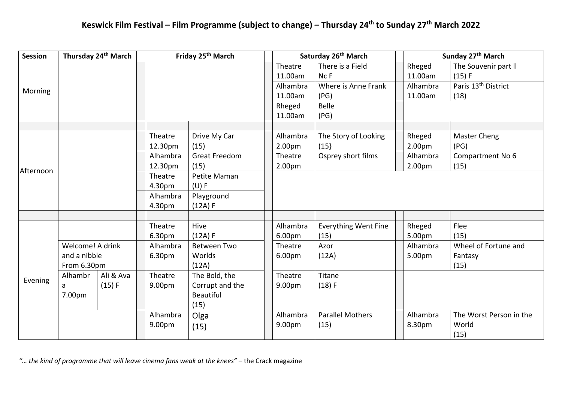## **Keswick Film Festival – Film Programme (subject to change) – Thursday 24th to Sunday 27th March 2022**

| <b>Session</b> |                  | Thursday 24 <sup>th</sup> March | Friday 25 <sup>th</sup> March |                      |          | Saturday 26 <sup>th</sup> March |                    | Sunday 27th March               |  |
|----------------|------------------|---------------------------------|-------------------------------|----------------------|----------|---------------------------------|--------------------|---------------------------------|--|
|                |                  |                                 |                               |                      | Theatre  | There is a Field                | Rheged             | The Souvenir part II            |  |
|                |                  |                                 |                               |                      | 11.00am  | Nc F                            | 11.00am            | (15) F                          |  |
| Morning        |                  |                                 |                               |                      | Alhambra | Where is Anne Frank             | Alhambra           | Paris 13 <sup>th</sup> District |  |
|                |                  |                                 |                               |                      | 11.00am  | (PG)                            | 11.00am            | (18)                            |  |
|                |                  |                                 |                               |                      | Rheged   | Belle                           |                    |                                 |  |
|                |                  |                                 |                               |                      | 11.00am  | (PG)                            |                    |                                 |  |
|                |                  |                                 |                               |                      |          |                                 |                    |                                 |  |
|                |                  |                                 | Theatre                       | Drive My Car         | Alhambra | The Story of Looking            | Rheged             | Master Cheng                    |  |
|                |                  |                                 | 12.30pm                       | (15)                 | 2.00pm   | (15)                            | 2.00 <sub>pm</sub> | (PG)                            |  |
|                |                  |                                 | Alhambra                      | <b>Great Freedom</b> | Theatre  | Osprey short films              | Alhambra           | Compartment No 6                |  |
| Afternoon      |                  |                                 | 12.30pm                       | (15)                 | 2.00pm   |                                 | 2.00 <sub>pm</sub> | (15)                            |  |
|                |                  |                                 | Theatre                       | Petite Maman         |          |                                 |                    |                                 |  |
|                |                  |                                 | 4.30pm                        | (U) F                |          |                                 |                    |                                 |  |
|                |                  |                                 | Alhambra                      | Playground           |          |                                 |                    |                                 |  |
|                |                  |                                 | 4.30pm                        | (12A) F              |          |                                 |                    |                                 |  |
|                |                  |                                 |                               |                      |          |                                 |                    |                                 |  |
|                |                  |                                 | Theatre                       | Hive                 | Alhambra | <b>Everything Went Fine</b>     | Rheged             | Flee                            |  |
|                |                  |                                 | 6.30pm                        | (12A) F              | 6.00pm   | (15)                            | 5.00pm             | (15)                            |  |
|                | Welcome! A drink |                                 | Alhambra                      | <b>Between Two</b>   | Theatre  | Azor                            | Alhambra           | Wheel of Fortune and            |  |
|                | and a nibble     |                                 | 6.30pm                        | Worlds               | 6.00pm   | (12A)                           | 5.00pm             | Fantasy                         |  |
|                | From 6.30pm      |                                 |                               | (12A)                |          |                                 |                    | (15)                            |  |
| Evening        | Alhambr          | Ali & Ava                       | Theatre                       | The Bold, the        | Theatre  | Titane                          |                    |                                 |  |
|                | a                | (15) F                          | 9.00pm                        | Corrupt and the      | 9.00pm   | (18) F                          |                    |                                 |  |
|                | 7.00pm           |                                 |                               | <b>Beautiful</b>     |          |                                 |                    |                                 |  |
|                |                  |                                 |                               | (15)                 |          |                                 |                    |                                 |  |
|                |                  |                                 | Alhambra                      | Olga                 | Alhambra | <b>Parallel Mothers</b>         | Alhambra           | The Worst Person in the         |  |
|                |                  |                                 | 9.00pm                        | (15)                 | 9.00pm   | (15)                            | 8.30pm             | World                           |  |
|                |                  |                                 |                               |                      |          |                                 |                    | (15)                            |  |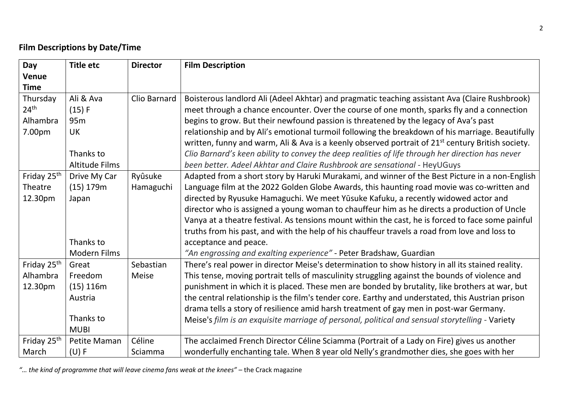## **Film Descriptions by Date/Time**

| Day                     | <b>Title etc</b>      | <b>Director</b> | <b>Film Description</b>                                                                                       |
|-------------------------|-----------------------|-----------------|---------------------------------------------------------------------------------------------------------------|
| <b>Venue</b>            |                       |                 |                                                                                                               |
| <b>Time</b>             |                       |                 |                                                                                                               |
| Thursday                | Ali & Ava             | Clio Barnard    | Boisterous landlord Ali (Adeel Akhtar) and pragmatic teaching assistant Ava (Claire Rushbrook)                |
| 24 <sup>th</sup>        | (15) F                |                 | meet through a chance encounter. Over the course of one month, sparks fly and a connection                    |
| Alhambra                | 95 <sub>m</sub>       |                 | begins to grow. But their newfound passion is threatened by the legacy of Ava's past                          |
| 7.00pm                  | UK                    |                 | relationship and by Ali's emotional turmoil following the breakdown of his marriage. Beautifully              |
|                         |                       |                 | written, funny and warm, Ali & Ava is a keenly observed portrait of 21 <sup>st</sup> century British society. |
|                         | Thanks to             |                 | Clio Barnard's keen ability to convey the deep realities of life through her direction has never              |
|                         | <b>Altitude Films</b> |                 | been better. Adeel Akhtar and Claire Rushbrook are sensational - HeyUGuys                                     |
| Friday 25 <sup>th</sup> | Drive My Car          | Ryûsuke         | Adapted from a short story by Haruki Murakami, and winner of the Best Picture in a non-English                |
| Theatre                 | (15) 179m             | Hamaguchi       | Language film at the 2022 Golden Globe Awards, this haunting road movie was co-written and                    |
| 12.30pm                 | Japan                 |                 | directed by Ryusuke Hamaguchi. We meet Yūsuke Kafuku, a recently widowed actor and                            |
|                         |                       |                 | director who is assigned a young woman to chauffeur him as he directs a production of Uncle                   |
|                         |                       |                 | Vanya at a theatre festival. As tensions mount within the cast, he is forced to face some painful             |
|                         |                       |                 | truths from his past, and with the help of his chauffeur travels a road from love and loss to                 |
|                         | Thanks to             |                 | acceptance and peace.                                                                                         |
|                         | <b>Modern Films</b>   |                 | "An engrossing and exalting experience" - Peter Bradshaw, Guardian                                            |
| Friday 25 <sup>th</sup> | Great                 | Sebastian       | There's real power in director Meise's determination to show history in all its stained reality.              |
| Alhambra                | Freedom               | <b>Meise</b>    | This tense, moving portrait tells of masculinity struggling against the bounds of violence and                |
| 12.30pm                 | $(15)$ 116m           |                 | punishment in which it is placed. These men are bonded by brutality, like brothers at war, but                |
|                         | Austria               |                 | the central relationship is the film's tender core. Earthy and understated, this Austrian prison              |
|                         |                       |                 | drama tells a story of resilience amid harsh treatment of gay men in post-war Germany.                        |
|                         | Thanks to             |                 | Meise's film is an exquisite marriage of personal, political and sensual storytelling - Variety               |
|                         | <b>MUBI</b>           |                 |                                                                                                               |
| Friday 25 <sup>th</sup> | Petite Maman          | Céline          | The acclaimed French Director Céline Sciamma (Portrait of a Lady on Fire) gives us another                    |
| March                   | $(U)$ F               | Sciamma         | wonderfully enchanting tale. When 8 year old Nelly's grandmother dies, she goes with her                      |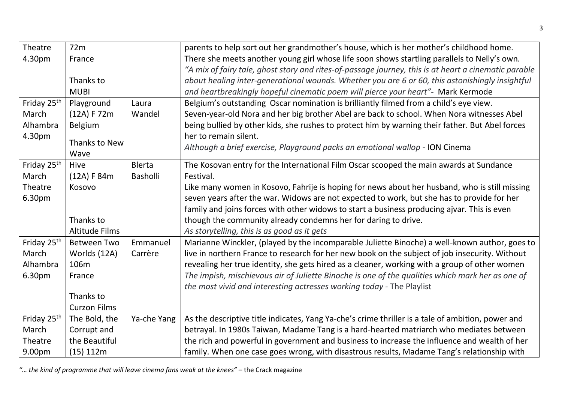| Theatre                 | 72m                   |               | parents to help sort out her grandmother's house, which is her mother's childhood home.              |
|-------------------------|-----------------------|---------------|------------------------------------------------------------------------------------------------------|
| 4.30pm                  | France                |               | There she meets another young girl whose life soon shows startling parallels to Nelly's own.         |
|                         |                       |               | "A mix of fairy tale, ghost story and rites-of-passage journey, this is at heart a cinematic parable |
|                         | Thanks to             |               | about healing inter-generational wounds. Whether you are 6 or 60, this astonishingly insightful      |
|                         | <b>MUBI</b>           |               | and heartbreakingly hopeful cinematic poem will pierce your heart"- Mark Kermode                     |
| Friday 25 <sup>th</sup> | Playground            | Laura         | Belgium's outstanding Oscar nomination is brilliantly filmed from a child's eye view.                |
| March                   | (12A) F 72m           | Wandel        | Seven-year-old Nora and her big brother Abel are back to school. When Nora witnesses Abel            |
| Alhambra                | Belgium               |               | being bullied by other kids, she rushes to protect him by warning their father. But Abel forces      |
| 4.30pm                  |                       |               | her to remain silent.                                                                                |
|                         | Thanks to New         |               | Although a brief exercise, Playground packs an emotional wallop - ION Cinema                         |
|                         | Wave                  |               |                                                                                                      |
| Friday 25 <sup>th</sup> | Hive                  | <b>Blerta</b> | The Kosovan entry for the International Film Oscar scooped the main awards at Sundance               |
| March                   | (12A) F 84m           | Basholli      | Festival.                                                                                            |
| Theatre                 | Kosovo                |               | Like many women in Kosovo, Fahrije is hoping for news about her husband, who is still missing        |
| 6.30pm                  |                       |               | seven years after the war. Widows are not expected to work, but she has to provide for her           |
|                         |                       |               | family and joins forces with other widows to start a business producing ajvar. This is even          |
|                         | Thanks to             |               | though the community already condemns her for daring to drive.                                       |
|                         | <b>Altitude Films</b> |               | As storytelling, this is as good as it gets                                                          |
| Friday 25 <sup>th</sup> | <b>Between Two</b>    | Emmanuel      | Marianne Winckler, (played by the incomparable Juliette Binoche) a well-known author, goes to        |
| March                   | Worlds (12A)          | Carrère       | live in northern France to research for her new book on the subject of job insecurity. Without       |
| Alhambra                | 106m                  |               | revealing her true identity, she gets hired as a cleaner, working with a group of other women        |
| 6.30pm                  | France                |               | The impish, mischievous air of Juliette Binoche is one of the qualities which mark her as one of     |
|                         |                       |               | the most vivid and interesting actresses working today - The Playlist                                |
|                         | Thanks to             |               |                                                                                                      |
|                         | <b>Curzon Films</b>   |               |                                                                                                      |
| Friday 25 <sup>th</sup> | The Bold, the         | Ya-che Yang   | As the descriptive title indicates, Yang Ya-che's crime thriller is a tale of ambition, power and    |
| March                   | Corrupt and           |               | betrayal. In 1980s Taiwan, Madame Tang is a hard-hearted matriarch who mediates between              |
| Theatre                 | the Beautiful         |               | the rich and powerful in government and business to increase the influence and wealth of her         |
| 9.00pm                  | $(15)$ 112m           |               | family. When one case goes wrong, with disastrous results, Madame Tang's relationship with           |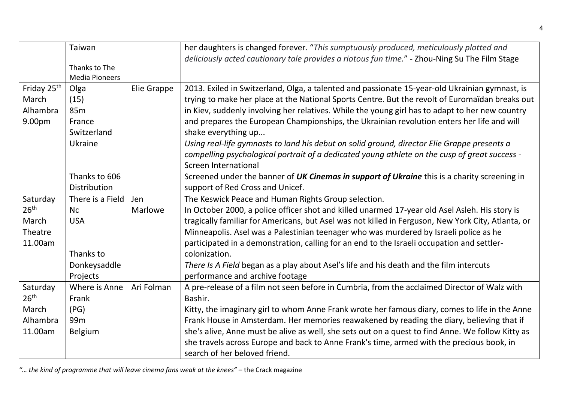|                         | Taiwan                |             | her daughters is changed forever. "This sumptuously produced, meticulously plotted and             |
|-------------------------|-----------------------|-------------|----------------------------------------------------------------------------------------------------|
|                         |                       |             | deliciously acted cautionary tale provides a riotous fun time." - Zhou-Ning Su The Film Stage      |
|                         | Thanks to The         |             |                                                                                                    |
|                         | <b>Media Pioneers</b> |             |                                                                                                    |
| Friday 25 <sup>th</sup> | Olga                  | Elie Grappe | 2013. Exiled in Switzerland, Olga, a talented and passionate 15-year-old Ukrainian gymnast, is     |
| March                   | (15)                  |             | trying to make her place at the National Sports Centre. But the revolt of Euromaïdan breaks out    |
| Alhambra                | 85 <sub>m</sub>       |             | in Kiev, suddenly involving her relatives. While the young girl has to adapt to her new country    |
| 9.00pm                  | France                |             | and prepares the European Championships, the Ukrainian revolution enters her life and will         |
|                         | Switzerland           |             | shake everything up                                                                                |
|                         | Ukraine               |             | Using real-life gymnasts to land his debut on solid ground, director Elie Grappe presents a        |
|                         |                       |             | compelling psychological portrait of a dedicated young athlete on the cusp of great success -      |
|                         |                       |             | Screen International                                                                               |
|                         | Thanks to 606         |             | Screened under the banner of UK Cinemas in support of Ukraine this is a charity screening in       |
|                         | Distribution          |             | support of Red Cross and Unicef.                                                                   |
| Saturday                | There is a Field      | Jen         | The Keswick Peace and Human Rights Group selection.                                                |
| 26 <sup>th</sup>        | Nc                    | Marlowe     | In October 2000, a police officer shot and killed unarmed 17-year old Asel Asleh. His story is     |
| March                   | <b>USA</b>            |             | tragically familiar for Americans, but Asel was not killed in Ferguson, New York City, Atlanta, or |
| Theatre                 |                       |             | Minneapolis. Asel was a Palestinian teenager who was murdered by Israeli police as he              |
| 11.00am                 |                       |             | participated in a demonstration, calling for an end to the Israeli occupation and settler-         |
|                         | Thanks to             |             | colonization.                                                                                      |
|                         | Donkeysaddle          |             | There Is A Field began as a play about Asel's life and his death and the film intercuts            |
|                         | Projects              |             | performance and archive footage                                                                    |
| Saturday                | Where is Anne         | Ari Folman  | A pre-release of a film not seen before in Cumbria, from the acclaimed Director of Walz with       |
| 26 <sup>th</sup>        | Frank                 |             | Bashir.                                                                                            |
| March                   | (PG)                  |             | Kitty, the imaginary girl to whom Anne Frank wrote her famous diary, comes to life in the Anne     |
| Alhambra                | 99 <sub>m</sub>       |             | Frank House in Amsterdam. Her memories reawakened by reading the diary, believing that if          |
| 11.00am                 | <b>Belgium</b>        |             | she's alive, Anne must be alive as well, she sets out on a quest to find Anne. We follow Kitty as  |
|                         |                       |             | she travels across Europe and back to Anne Frank's time, armed with the precious book, in          |
|                         |                       |             | search of her beloved friend.                                                                      |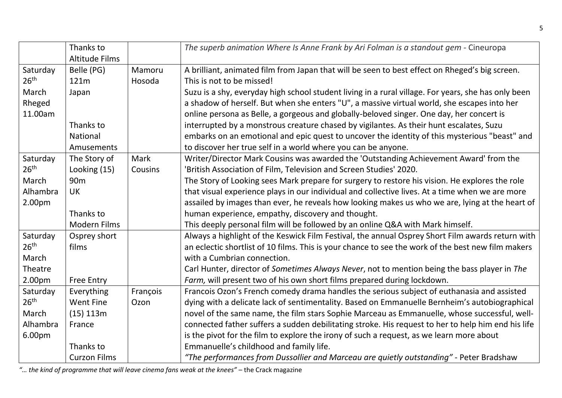|                  | Thanks to             |          | The superb animation Where Is Anne Frank by Ari Folman is a standout gem - Cineuropa                |
|------------------|-----------------------|----------|-----------------------------------------------------------------------------------------------------|
|                  | <b>Altitude Films</b> |          |                                                                                                     |
| Saturday         | Belle (PG)            | Mamoru   | A brilliant, animated film from Japan that will be seen to best effect on Rheged's big screen.      |
| 26 <sup>th</sup> | 121m                  | Hosoda   | This is not to be missed!                                                                           |
| March            | Japan                 |          | Suzu is a shy, everyday high school student living in a rural village. For years, she has only been |
| Rheged           |                       |          | a shadow of herself. But when she enters "U", a massive virtual world, she escapes into her         |
| 11.00am          |                       |          | online persona as Belle, a gorgeous and globally-beloved singer. One day, her concert is            |
|                  | Thanks to             |          | interrupted by a monstrous creature chased by vigilantes. As their hunt escalates, Suzu             |
|                  | National              |          | embarks on an emotional and epic quest to uncover the identity of this mysterious "beast" and       |
|                  | Amusements            |          | to discover her true self in a world where you can be anyone.                                       |
| Saturday         | The Story of          | Mark     | Writer/Director Mark Cousins was awarded the 'Outstanding Achievement Award' from the               |
| 26 <sup>th</sup> | Looking (15)          | Cousins  | 'British Association of Film, Television and Screen Studies' 2020.                                  |
| March            | 90 <sub>m</sub>       |          | The Story of Looking sees Mark prepare for surgery to restore his vision. He explores the role      |
| Alhambra         | <b>UK</b>             |          | that visual experience plays in our individual and collective lives. At a time when we are more     |
| 2.00pm           |                       |          | assailed by images than ever, he reveals how looking makes us who we are, lying at the heart of     |
|                  | Thanks to             |          | human experience, empathy, discovery and thought.                                                   |
|                  | Modern Films          |          | This deeply personal film will be followed by an online Q&A with Mark himself.                      |
| Saturday         | Osprey short          |          | Always a highlight of the Keswick Film Festival, the annual Osprey Short Film awards return with    |
| 26 <sup>th</sup> | films                 |          | an eclectic shortlist of 10 films. This is your chance to see the work of the best new film makers  |
| March            |                       |          | with a Cumbrian connection.                                                                         |
| Theatre          |                       |          | Carl Hunter, director of Sometimes Always Never, not to mention being the bass player in The        |
| 2.00pm           | <b>Free Entry</b>     |          | Farm, will present two of his own short films prepared during lockdown.                             |
| Saturday         | Everything            | François | Francois Ozon's French comedy drama handles the serious subject of euthanasia and assisted          |
| 26 <sup>th</sup> | <b>Went Fine</b>      | Ozon     | dying with a delicate lack of sentimentality. Based on Emmanuelle Bernheim's autobiographical       |
| March            | $(15)$ 113m           |          | novel of the same name, the film stars Sophie Marceau as Emmanuelle, whose successful, well-        |
| Alhambra         | France                |          | connected father suffers a sudden debilitating stroke. His request to her to help him end his life  |
| 6.00pm           |                       |          | is the pivot for the film to explore the irony of such a request, as we learn more about            |
|                  | Thanks to             |          | Emmanuelle's childhood and family life.                                                             |
|                  | <b>Curzon Films</b>   |          | "The performances from Dussollier and Marceau are quietly outstanding" - Peter Bradshaw             |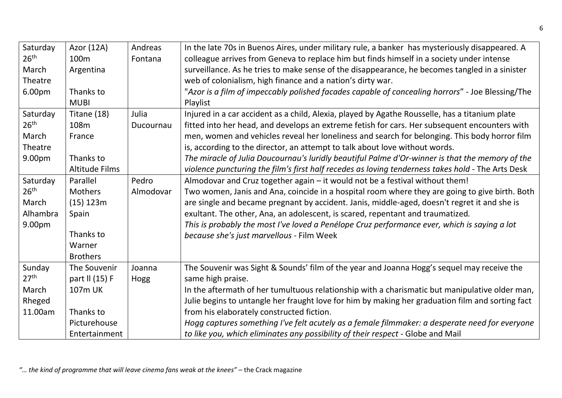| Saturday         | Azor (12A)            | Andreas   | In the late 70s in Buenos Aires, under military rule, a banker has mysteriously disappeared. A    |
|------------------|-----------------------|-----------|---------------------------------------------------------------------------------------------------|
| 26 <sup>th</sup> | 100 <sub>m</sub>      | Fontana   | colleague arrives from Geneva to replace him but finds himself in a society under intense         |
| March            | Argentina             |           | surveillance. As he tries to make sense of the disappearance, he becomes tangled in a sinister    |
| Theatre          |                       |           | web of colonialism, high finance and a nation's dirty war.                                        |
| 6.00pm           | Thanks to             |           | "Azor is a film of impeccably polished facades capable of concealing horrors" - Joe Blessing/The  |
|                  | <b>MUBI</b>           |           | Playlist                                                                                          |
| Saturday         | Titane (18)           | Julia     | Injured in a car accident as a child, Alexia, played by Agathe Rousselle, has a titanium plate    |
| 26 <sup>th</sup> | 108m                  | Ducournau | fitted into her head, and develops an extreme fetish for cars. Her subsequent encounters with     |
| March            | France                |           | men, women and vehicles reveal her loneliness and search for belonging. This body horror film     |
| Theatre          |                       |           | is, according to the director, an attempt to talk about love without words.                       |
| 9.00pm           | Thanks to             |           | The miracle of Julia Doucournau's luridly beautiful Palme d'Or-winner is that the memory of the   |
|                  | <b>Altitude Films</b> |           | violence puncturing the film's first half recedes as loving tenderness takes hold - The Arts Desk |
| Saturday         | Parallel              | Pedro     | Almodovar and Cruz together again - it would not be a festival without them!                      |
| 26 <sup>th</sup> | <b>Mothers</b>        | Almodovar | Two women, Janis and Ana, coincide in a hospital room where they are going to give birth. Both    |
| March            | $(15)$ 123m           |           | are single and became pregnant by accident. Janis, middle-aged, doesn't regret it and she is      |
| Alhambra         | Spain                 |           | exultant. The other, Ana, an adolescent, is scared, repentant and traumatized.                    |
| 9.00pm           |                       |           | This is probably the most I've loved a Penélope Cruz performance ever, which is saying a lot      |
|                  | Thanks to             |           | because she's just marvellous - Film Week                                                         |
|                  | Warner                |           |                                                                                                   |
|                  | <b>Brothers</b>       |           |                                                                                                   |
| Sunday           | The Souvenir          | Joanna    | The Souvenir was Sight & Sounds' film of the year and Joanna Hogg's sequel may receive the        |
| 27 <sup>th</sup> | part II (15) F        | Hogg      | same high praise.                                                                                 |
| March            | 107m UK               |           | In the aftermath of her tumultuous relationship with a charismatic but manipulative older man,    |
| Rheged           |                       |           | Julie begins to untangle her fraught love for him by making her graduation film and sorting fact  |
| 11.00am          | Thanks to             |           | from his elaborately constructed fiction.                                                         |
|                  | Picturehouse          |           | Hogg captures something I've felt acutely as a female filmmaker: a desperate need for everyone    |
|                  | Entertainment         |           | to like you, which eliminates any possibility of their respect - Globe and Mail                   |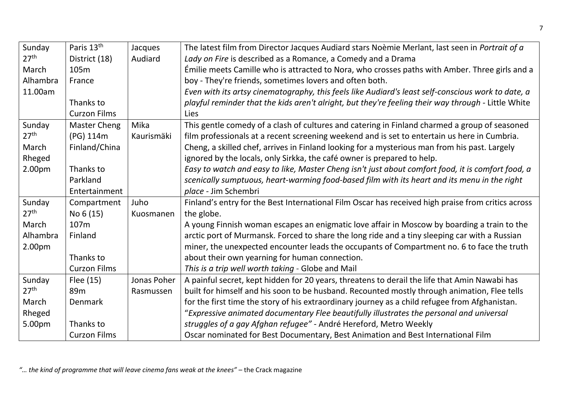| Sunday           | Paris 13 <sup>th</sup> | Jacques     | The latest film from Director Jacques Audiard stars Noèmie Merlant, last seen in Portrait of a      |
|------------------|------------------------|-------------|-----------------------------------------------------------------------------------------------------|
| 27 <sup>th</sup> | District (18)          | Audiard     | Lady on Fire is described as a Romance, a Comedy and a Drama                                        |
| March            | 105m                   |             | Émilie meets Camille who is attracted to Nora, who crosses paths with Amber. Three girls and a      |
| Alhambra         | France                 |             | boy - They're friends, sometimes lovers and often both.                                             |
| 11.00am          |                        |             | Even with its artsy cinematography, this feels like Audiard's least self-conscious work to date, a  |
|                  | Thanks to              |             | playful reminder that the kids aren't alright, but they're feeling their way through - Little White |
|                  | <b>Curzon Films</b>    |             | <b>Lies</b>                                                                                         |
| Sunday           | <b>Master Cheng</b>    | Mika        | This gentle comedy of a clash of cultures and catering in Finland charmed a group of seasoned       |
| 27 <sup>th</sup> | (PG) 114m              | Kaurismäki  | film professionals at a recent screening weekend and is set to entertain us here in Cumbria.        |
| March            | Finland/China          |             | Cheng, a skilled chef, arrives in Finland looking for a mysterious man from his past. Largely       |
| Rheged           |                        |             | ignored by the locals, only Sirkka, the café owner is prepared to help.                             |
| 2.00pm           | Thanks to              |             | Easy to watch and easy to like, Master Cheng isn't just about comfort food, it is comfort food, a   |
|                  | Parkland               |             | scenically sumptuous, heart-warming food-based film with its heart and its menu in the right        |
|                  | Entertainment          |             | place - Jim Schembri                                                                                |
| Sunday           | Compartment            | Juho        | Finland's entry for the Best International Film Oscar has received high praise from critics across  |
| 27 <sup>th</sup> | No 6 (15)              | Kuosmanen   | the globe.                                                                                          |
| March            | 107m                   |             | A young Finnish woman escapes an enigmatic love affair in Moscow by boarding a train to the         |
| Alhambra         | Finland                |             | arctic port of Murmansk. Forced to share the long ride and a tiny sleeping car with a Russian       |
| 2.00pm           |                        |             | miner, the unexpected encounter leads the occupants of Compartment no. 6 to face the truth          |
|                  | Thanks to              |             | about their own yearning for human connection.                                                      |
|                  | <b>Curzon Films</b>    |             | This is a trip well worth taking - Globe and Mail                                                   |
| Sunday           | Flee (15)              | Jonas Poher | A painful secret, kept hidden for 20 years, threatens to derail the life that Amin Nawabi has       |
| 27 <sup>th</sup> | 89 <sub>m</sub>        | Rasmussen   | built for himself and his soon to be husband. Recounted mostly through animation, Flee tells        |
| March            | Denmark                |             | for the first time the story of his extraordinary journey as a child refugee from Afghanistan.      |
| Rheged           |                        |             | "Expressive animated documentary Flee beautifully illustrates the personal and universal            |
| 5.00pm           | Thanks to              |             | struggles of a gay Afghan refugee" - André Hereford, Metro Weekly                                   |
|                  | <b>Curzon Films</b>    |             | Oscar nominated for Best Documentary, Best Animation and Best International Film                    |